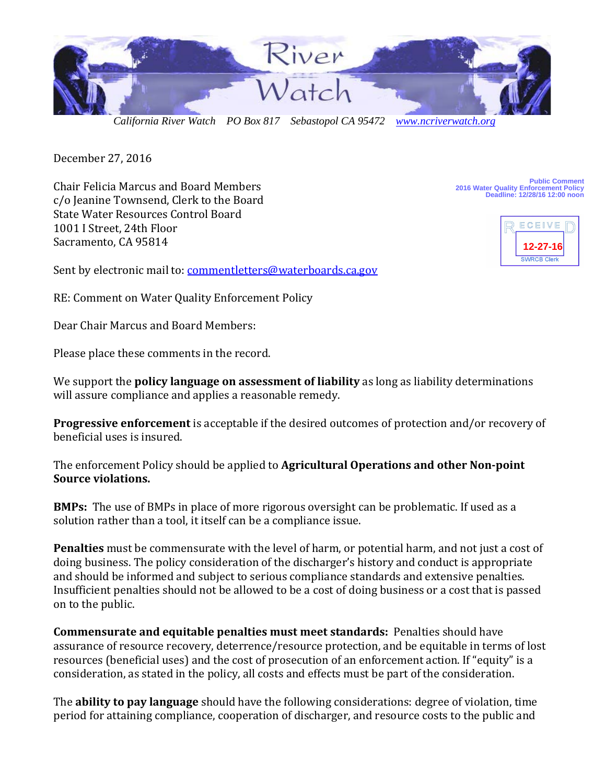

 *California River Watch PO Box 817 Sebastopol CA 95472 [www.ncriverwatch.org](http://www.ncriverwatch.org/)*

December 27, 2016

Chair Felicia Marcus and Board Members c/o Jeanine Townsend, Clerk to the Board State Water Resources Control Board 1001 I Street, 24th Floor Sacramento, CA 95814

**Public Comment 2016 Water Quality Enforcement Policy Deadline: 12/28/16 12:00 noon**



Sent by electronic mail to: [commentletters@waterboards.ca.gov](mailto:commentletters@waterboards.ca.gov)

RE: Comment on Water Quality Enforcement Policy

Dear Chair Marcus and Board Members:

Please place these comments in the record.

We support the **policy language on assessment of liability** as long as liability determinations will assure compliance and applies a reasonable remedy.

**Progressive enforcement** is acceptable if the desired outcomes of protection and/or recovery of beneficial uses is insured.

The enforcement Policy should be applied to **Agricultural Operations and other Non-point Source violations.** 

**BMPs:** The use of BMPs in place of more rigorous oversight can be problematic. If used as a solution rather than a tool, it itself can be a compliance issue.

**Penalties** must be commensurate with the level of harm, or potential harm, and not just a cost of doing business. The policy consideration of the discharger's history and conduct is appropriate and should be informed and subject to serious compliance standards and extensive penalties. Insufficient penalties should not be allowed to be a cost of doing business or a cost that is passed on to the public.

**Commensurate and equitable penalties must meet standards:** Penalties should have assurance of resource recovery, deterrence/resource protection, and be equitable in terms of lost resources (beneficial uses) and the cost of prosecution of an enforcement action. If "equity" is a consideration, as stated in the policy, all costs and effects must be part of the consideration.

The **ability to pay language** should have the following considerations: degree of violation, time period for attaining compliance, cooperation of discharger, and resource costs to the public and